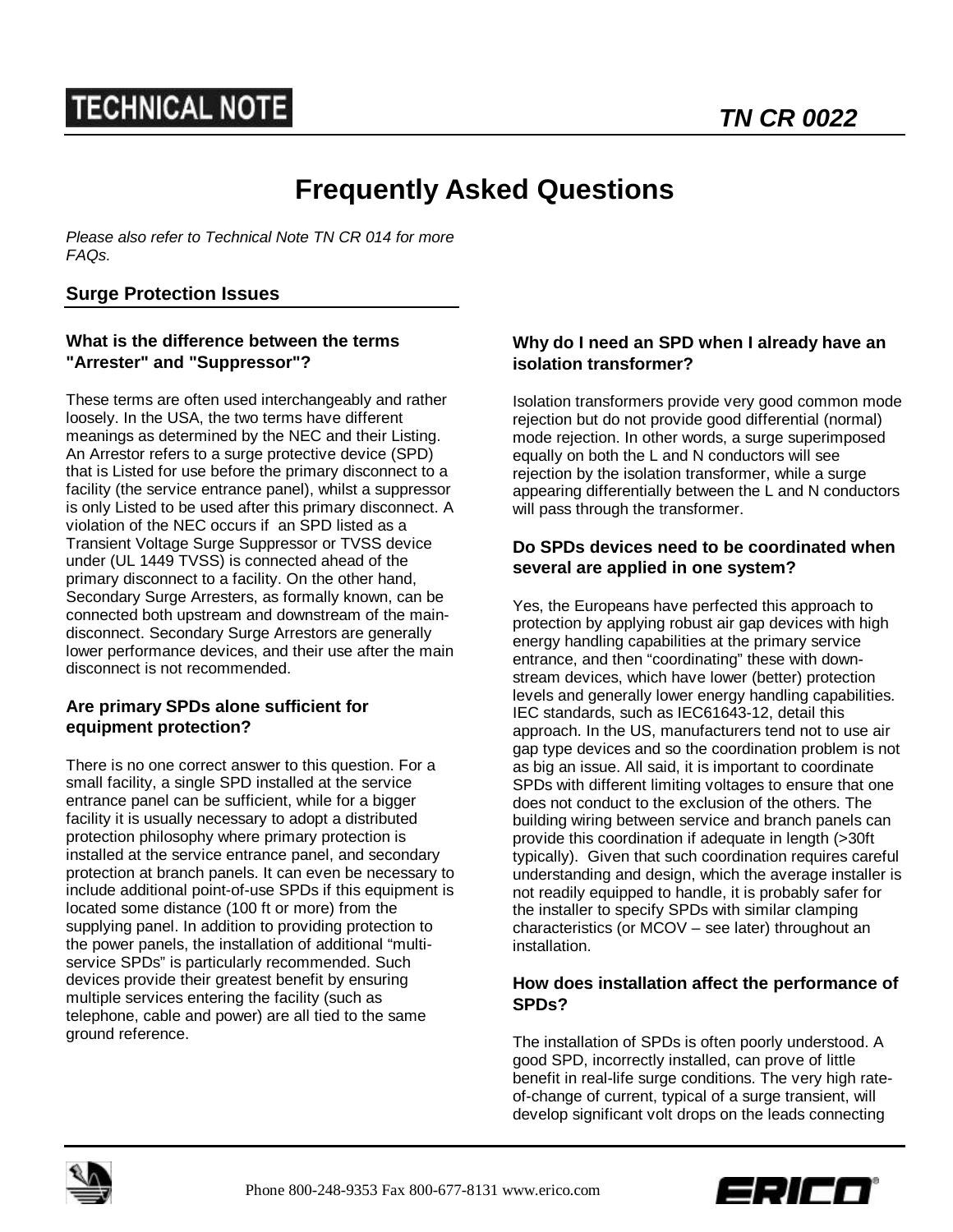# **Frequently Asked Questions**

*Please also refer to Technical Note TN CR 014 for more FAQs.*

# **Surge Protection Issues**

### **What is the difference between the terms "Arrester" and "Suppressor"?**

These terms are often used interchangeably and rather loosely. In the USA, the two terms have different meanings as determined by the NEC and their Listing. An Arrestor refers to a surge protective device (SPD) that is Listed for use before the primary disconnect to a facility (the service entrance panel), whilst a suppressor is only Listed to be used after this primary disconnect. A violation of the NEC occurs if an SPD listed as a Transient Voltage Surge Suppressor or TVSS device under (UL 1449 TVSS) is connected ahead of the primary disconnect to a facility. On the other hand, Secondary Surge Arresters, as formally known, can be connected both upstream and downstream of the maindisconnect. Secondary Surge Arrestors are generally lower performance devices, and their use after the main disconnect is not recommended.

#### **Are primary SPDs alone sufficient for equipment protection?**

There is no one correct answer to this question. For a small facility, a single SPD installed at the service entrance panel can be sufficient, while for a bigger facility it is usually necessary to adopt a distributed protection philosophy where primary protection is installed at the service entrance panel, and secondary protection at branch panels. It can even be necessary to include additional point-of-use SPDs if this equipment is located some distance (100 ft or more) from the supplying panel. In addition to providing protection to the power panels, the installation of additional "multiservice SPDs" is particularly recommended. Such devices provide their greatest benefit by ensuring multiple services entering the facility (such as telephone, cable and power) are all tied to the same ground reference.

### **Why do I need an SPD when I already have an isolation transformer?**

Isolation transformers provide very good common mode rejection but do not provide good differential (normal) mode rejection. In other words, a surge superimposed equally on both the L and N conductors will see rejection by the isolation transformer, while a surge appearing differentially between the L and N conductors will pass through the transformer.

## **Do SPDs devices need to be coordinated when several are applied in one system?**

Yes, the Europeans have perfected this approach to protection by applying robust air gap devices with high energy handling capabilities at the primary service entrance, and then "coordinating" these with downstream devices, which have lower (better) protection levels and generally lower energy handling capabilities. IEC standards, such as IEC61643-12, detail this approach. In the US, manufacturers tend not to use air gap type devices and so the coordination problem is not as big an issue. All said, it is important to coordinate SPDs with different limiting voltages to ensure that one does not conduct to the exclusion of the others. The building wiring between service and branch panels can provide this coordination if adequate in length (>30ft typically). Given that such coordination requires careful understanding and design, which the average installer is not readily equipped to handle, it is probably safer for the installer to specify SPDs with similar clamping characteristics (or MCOV – see later) throughout an installation.

## **How does installation affect the performance of SPDs?**

The installation of SPDs is often poorly understood. A good SPD, incorrectly installed, can prove of little benefit in real-life surge conditions. The very high rateof-change of current, typical of a surge transient, will develop significant volt drops on the leads connecting



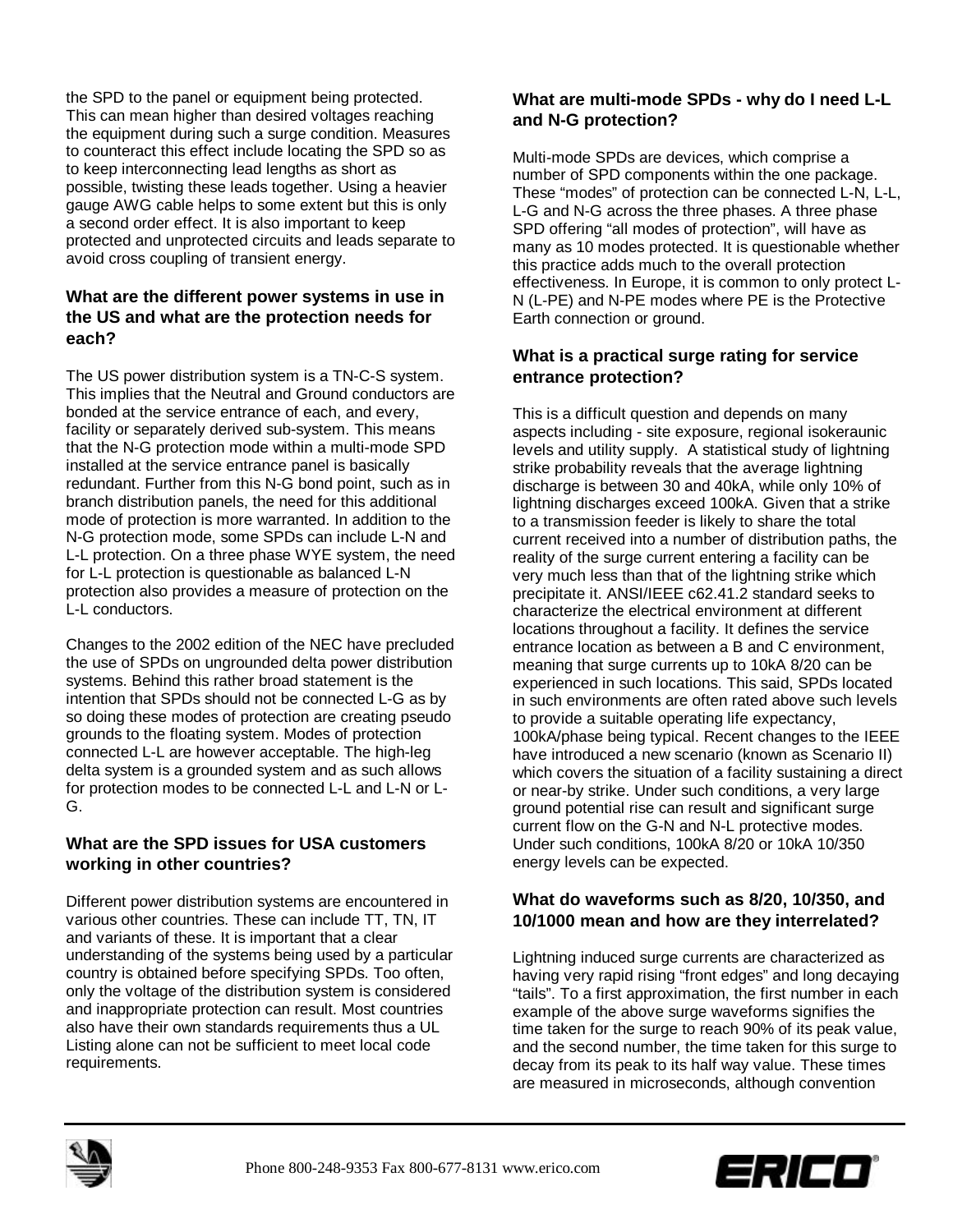the SPD to the panel or equipment being protected. This can mean higher than desired voltages reaching the equipment during such a surge condition. Measures to counteract this effect include locating the SPD so as to keep interconnecting lead lengths as short as possible, twisting these leads together. Using a heavier gauge AWG cable helps to some extent but this is only a second order effect. It is also important to keep protected and unprotected circuits and leads separate to avoid cross coupling of transient energy.

# **What are the different power systems in use in the US and what are the protection needs for each?**

The US power distribution system is a TN-C-S system. This implies that the Neutral and Ground conductors are bonded at the service entrance of each, and every, facility or separately derived sub-system. This means that the N-G protection mode within a multi-mode SPD installed at the service entrance panel is basically redundant. Further from this N-G bond point, such as in branch distribution panels, the need for this additional mode of protection is more warranted. In addition to the N-G protection mode, some SPDs can include L-N and L-L protection. On a three phase WYE system, the need for L-L protection is questionable as balanced L-N protection also provides a measure of protection on the L-L conductors.

Changes to the 2002 edition of the NEC have precluded the use of SPDs on ungrounded delta power distribution systems. Behind this rather broad statement is the intention that SPDs should not be connected L-G as by so doing these modes of protection are creating pseudo grounds to the floating system. Modes of protection connected L-L are however acceptable. The high-leg delta system is a grounded system and as such allows for protection modes to be connected L-L and L-N or L-G.

# **What are the SPD issues for USA customers working in other countries?**

Different power distribution systems are encountered in various other countries. These can include TT, TN, IT and variants of these. It is important that a clear understanding of the systems being used by a particular country is obtained before specifying SPDs. Too often, only the voltage of the distribution system is considered and inappropriate protection can result. Most countries also have their own standards requirements thus a UL Listing alone can not be sufficient to meet local code requirements.

# **What are multi-mode SPDs - why do I need L-L and N-G protection?**

Multi-mode SPDs are devices, which comprise a number of SPD components within the one package. These "modes" of protection can be connected L-N, L-L, L-G and N-G across the three phases. A three phase SPD offering "all modes of protection", will have as many as 10 modes protected. It is questionable whether this practice adds much to the overall protection effectiveness. In Europe, it is common to only protect L-N (L-PE) and N-PE modes where PE is the Protective Earth connection or ground.

# **What is a practical surge rating for service entrance protection?**

This is a difficult question and depends on many aspects including - site exposure, regional isokeraunic levels and utility supply. A statistical study of lightning strike probability reveals that the average lightning discharge is between 30 and 40kA, while only 10% of lightning discharges exceed 100kA. Given that a strike to a transmission feeder is likely to share the total current received into a number of distribution paths, the reality of the surge current entering a facility can be very much less than that of the lightning strike which precipitate it. ANSI/IEEE c62.41.2 standard seeks to characterize the electrical environment at different locations throughout a facility. It defines the service entrance location as between a B and C environment, meaning that surge currents up to 10kA 8/20 can be experienced in such locations. This said, SPDs located in such environments are often rated above such levels to provide a suitable operating life expectancy, 100kA/phase being typical. Recent changes to the IEEE have introduced a new scenario (known as Scenario II) which covers the situation of a facility sustaining a direct or near-by strike. Under such conditions, a very large ground potential rise can result and significant surge current flow on the G-N and N-L protective modes. Under such conditions, 100kA 8/20 or 10kA 10/350 energy levels can be expected.

# **What do waveforms such as 8/20, 10/350, and 10/1000 mean and how are they interrelated?**

Lightning induced surge currents are characterized as having very rapid rising "front edges" and long decaying "tails". To a first approximation, the first number in each example of the above surge waveforms signifies the time taken for the surge to reach 90% of its peak value, and the second number, the time taken for this surge to decay from its peak to its half way value. These times are measured in microseconds, although convention



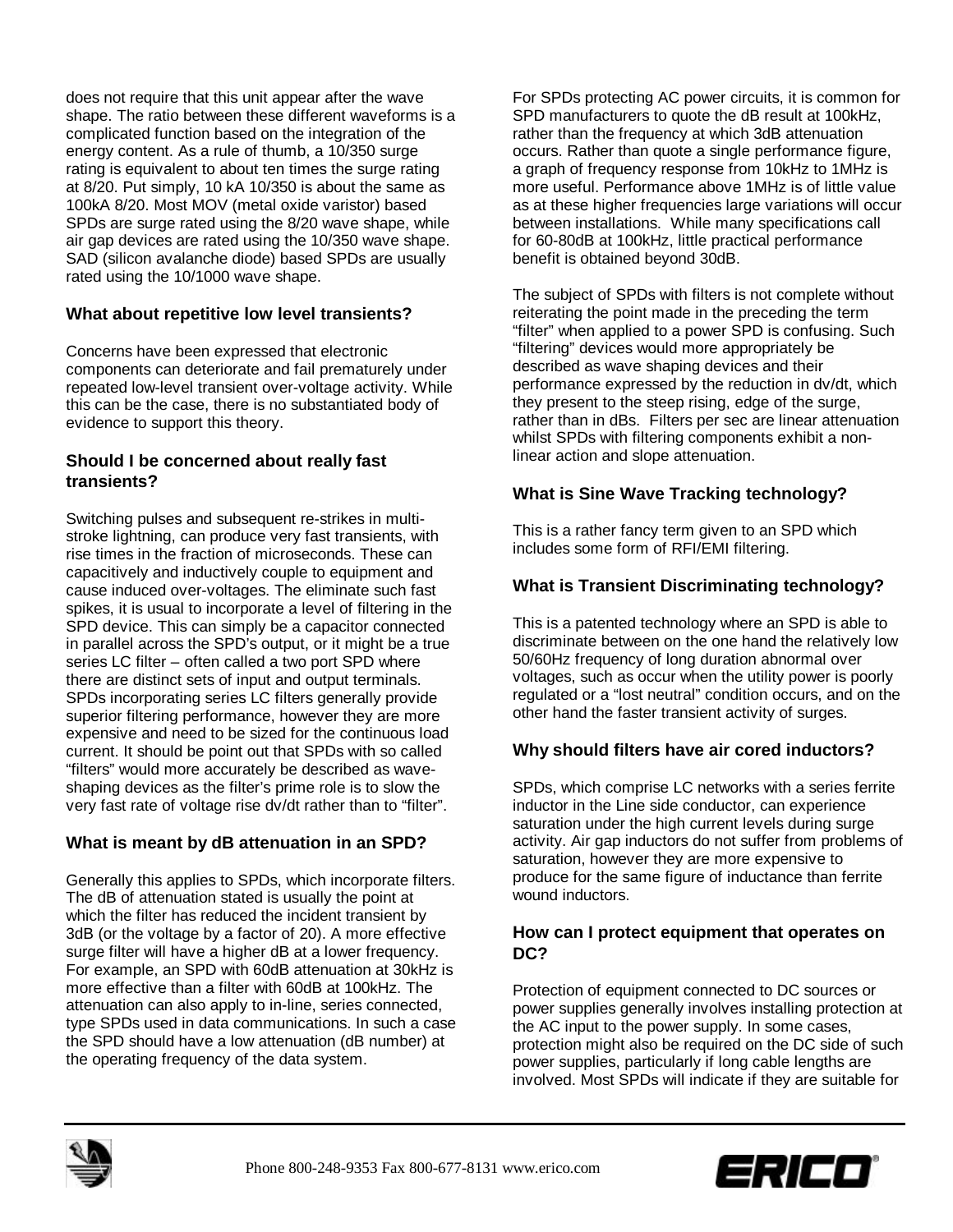does not require that this unit appear after the wave shape. The ratio between these different waveforms is a complicated function based on the integration of the energy content. As a rule of thumb, a 10/350 surge rating is equivalent to about ten times the surge rating at 8/20. Put simply, 10 kA 10/350 is about the same as 100kA 8/20. Most MOV (metal oxide varistor) based SPDs are surge rated using the 8/20 wave shape, while air gap devices are rated using the 10/350 wave shape. SAD (silicon avalanche diode) based SPDs are usually rated using the 10/1000 wave shape.

## **What about repetitive low level transients?**

Concerns have been expressed that electronic components can deteriorate and fail prematurely under repeated low-level transient over-voltage activity. While this can be the case, there is no substantiated body of evidence to support this theory.

### **Should I be concerned about really fast transients?**

Switching pulses and subsequent re-strikes in multistroke lightning, can produce very fast transients, with rise times in the fraction of microseconds. These can capacitively and inductively couple to equipment and cause induced over-voltages. The eliminate such fast spikes, it is usual to incorporate a level of filtering in the SPD device. This can simply be a capacitor connected in parallel across the SPD's output, or it might be a true series LC filter – often called a two port SPD where there are distinct sets of input and output terminals. SPDs incorporating series LC filters generally provide superior filtering performance, however they are more expensive and need to be sized for the continuous load current. It should be point out that SPDs with so called "filters" would more accurately be described as waveshaping devices as the filter's prime role is to slow the very fast rate of voltage rise dv/dt rather than to "filter".

## **What is meant by dB attenuation in an SPD?**

Generally this applies to SPDs, which incorporate filters. The dB of attenuation stated is usually the point at which the filter has reduced the incident transient by 3dB (or the voltage by a factor of 20). A more effective surge filter will have a higher dB at a lower frequency. For example, an SPD with 60dB attenuation at 30kHz is more effective than a filter with 60dB at 100kHz. The attenuation can also apply to in-line, series connected, type SPDs used in data communications. In such a case the SPD should have a low attenuation (dB number) at the operating frequency of the data system.

For SPDs protecting AC power circuits, it is common for SPD manufacturers to quote the dB result at 100kHz, rather than the frequency at which 3dB attenuation occurs. Rather than quote a single performance figure, a graph of frequency response from 10kHz to 1MHz is more useful. Performance above 1MHz is of little value as at these higher frequencies large variations will occur between installations. While many specifications call for 60-80dB at 100kHz, little practical performance benefit is obtained beyond 30dB.

The subject of SPDs with filters is not complete without reiterating the point made in the preceding the term "filter" when applied to a power SPD is confusing. Such "filtering" devices would more appropriately be described as wave shaping devices and their performance expressed by the reduction in dv/dt, which they present to the steep rising, edge of the surge, rather than in dBs. Filters per sec are linear attenuation whilst SPDs with filtering components exhibit a nonlinear action and slope attenuation.

# **What is Sine Wave Tracking technology?**

This is a rather fancy term given to an SPD which includes some form of RFI/EMI filtering.

## **What is Transient Discriminating technology?**

This is a patented technology where an SPD is able to discriminate between on the one hand the relatively low 50/60Hz frequency of long duration abnormal over voltages, such as occur when the utility power is poorly regulated or a "lost neutral" condition occurs, and on the other hand the faster transient activity of surges.

## **Why should filters have air cored inductors?**

SPDs, which comprise LC networks with a series ferrite inductor in the Line side conductor, can experience saturation under the high current levels during surge activity. Air gap inductors do not suffer from problems of saturation, however they are more expensive to produce for the same figure of inductance than ferrite wound inductors.

## **How can I protect equipment that operates on DC?**

Protection of equipment connected to DC sources or power supplies generally involves installing protection at the AC input to the power supply. In some cases, protection might also be required on the DC side of such power supplies, particularly if long cable lengths are involved. Most SPDs will indicate if they are suitable for



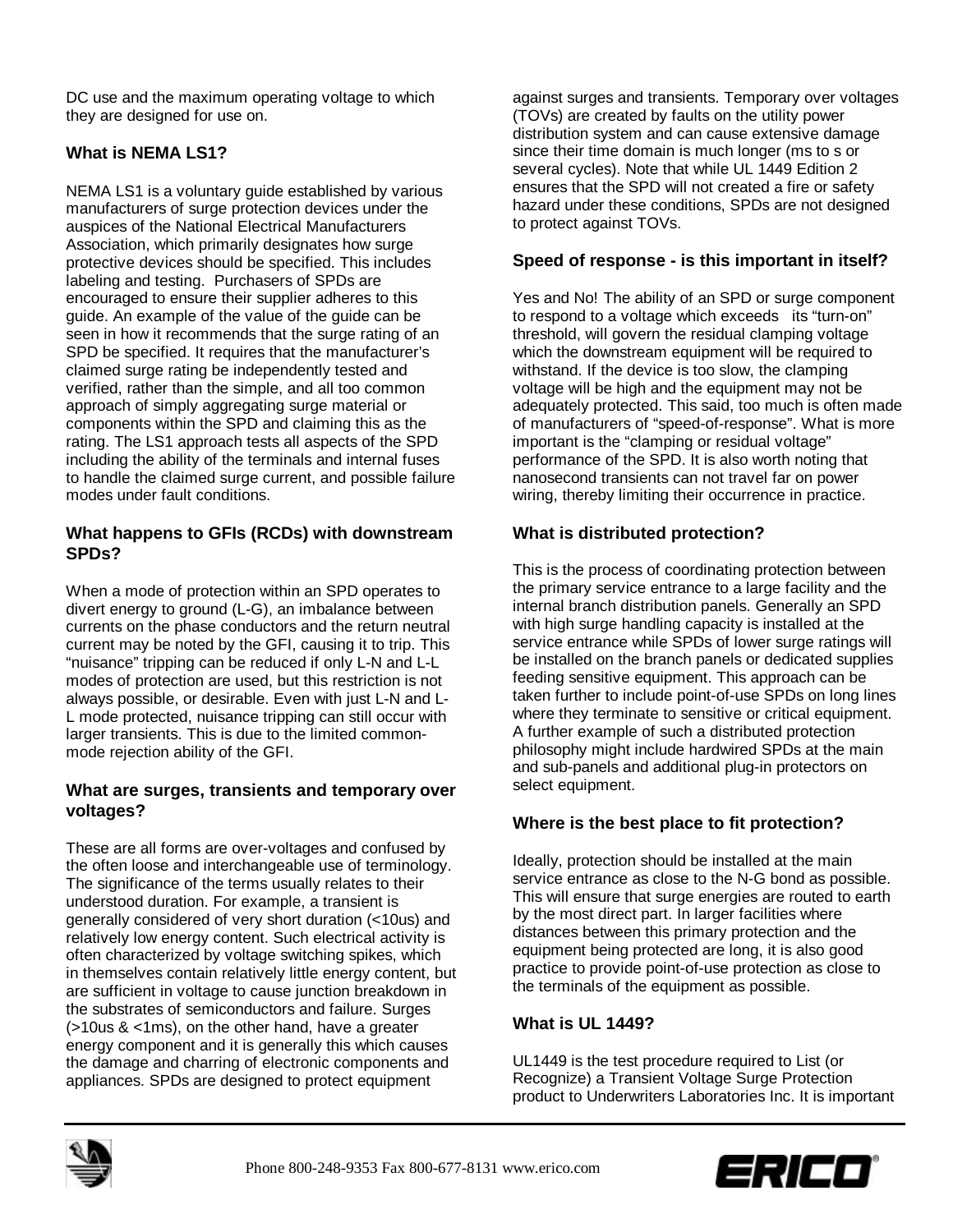DC use and the maximum operating voltage to which they are designed for use on.

# **What is NEMA LS1?**

NEMA LS1 is a voluntary guide established by various manufacturers of surge protection devices under the auspices of the National Electrical Manufacturers Association, which primarily designates how surge protective devices should be specified. This includes labeling and testing. Purchasers of SPDs are encouraged to ensure their supplier adheres to this guide. An example of the value of the guide can be seen in how it recommends that the surge rating of an SPD be specified. It requires that the manufacturer's claimed surge rating be independently tested and verified, rather than the simple, and all too common approach of simply aggregating surge material or components within the SPD and claiming this as the rating. The LS1 approach tests all aspects of the SPD including the ability of the terminals and internal fuses to handle the claimed surge current, and possible failure modes under fault conditions.

#### **What happens to GFIs (RCDs) with downstream SPDs?**

When a mode of protection within an SPD operates to divert energy to ground (L-G), an imbalance between currents on the phase conductors and the return neutral current may be noted by the GFI, causing it to trip. This "nuisance" tripping can be reduced if only L-N and L-L modes of protection are used, but this restriction is not always possible, or desirable. Even with just L-N and L-L mode protected, nuisance tripping can still occur with larger transients. This is due to the limited commonmode rejection ability of the GFI.

#### **What are surges, transients and temporary over voltages?**

These are all forms are over-voltages and confused by the often loose and interchangeable use of terminology. The significance of the terms usually relates to their understood duration. For example, a transient is generally considered of very short duration (<10us) and relatively low energy content. Such electrical activity is often characterized by voltage switching spikes, which in themselves contain relatively little energy content, but are sufficient in voltage to cause junction breakdown in the substrates of semiconductors and failure. Surges (>10us & <1ms), on the other hand, have a greater energy component and it is generally this which causes the damage and charring of electronic components and appliances. SPDs are designed to protect equipment

against surges and transients. Temporary over voltages (TOVs) are created by faults on the utility power distribution system and can cause extensive damage since their time domain is much longer (ms to s or several cycles). Note that while UL 1449 Edition 2 ensures that the SPD will not created a fire or safety hazard under these conditions, SPDs are not designed to protect against TOVs.

#### **Speed of response - is this important in itself?**

Yes and No! The ability of an SPD or surge component to respond to a voltage which exceeds its "turn-on" threshold, will govern the residual clamping voltage which the downstream equipment will be required to withstand. If the device is too slow, the clamping voltage will be high and the equipment may not be adequately protected. This said, too much is often made of manufacturers of "speed-of-response". What is more important is the "clamping or residual voltage" performance of the SPD. It is also worth noting that nanosecond transients can not travel far on power wiring, thereby limiting their occurrence in practice.

## **What is distributed protection?**

This is the process of coordinating protection between the primary service entrance to a large facility and the internal branch distribution panels. Generally an SPD with high surge handling capacity is installed at the service entrance while SPDs of lower surge ratings will be installed on the branch panels or dedicated supplies feeding sensitive equipment. This approach can be taken further to include point-of-use SPDs on long lines where they terminate to sensitive or critical equipment. A further example of such a distributed protection philosophy might include hardwired SPDs at the main and sub-panels and additional plug-in protectors on select equipment.

## **Where is the best place to fit protection?**

Ideally, protection should be installed at the main service entrance as close to the N-G bond as possible. This will ensure that surge energies are routed to earth by the most direct part. In larger facilities where distances between this primary protection and the equipment being protected are long, it is also good practice to provide point-of-use protection as close to the terminals of the equipment as possible.

#### **What is UL 1449?**

UL1449 is the test procedure required to List (or Recognize) a Transient Voltage Surge Protection product to Underwriters Laboratories Inc. It is important



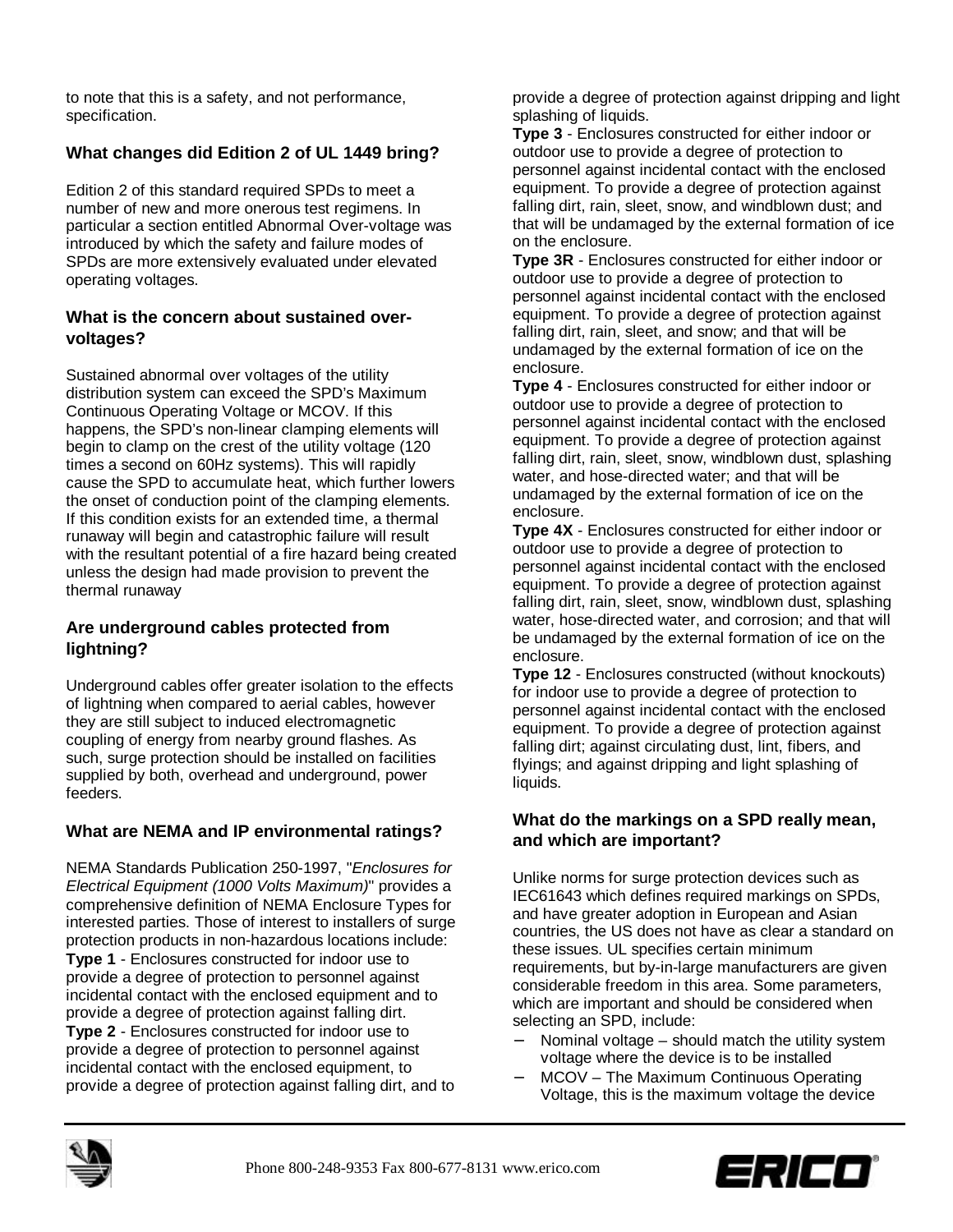to note that this is a safety, and not performance, specification.

# **What changes did Edition 2 of UL 1449 bring?**

Edition 2 of this standard required SPDs to meet a number of new and more onerous test regimens. In particular a section entitled Abnormal Over-voltage was introduced by which the safety and failure modes of SPDs are more extensively evaluated under elevated operating voltages.

### **What is the concern about sustained overvoltages?**

Sustained abnormal over voltages of the utility distribution system can exceed the SPD's Maximum Continuous Operating Voltage or MCOV. If this happens, the SPD's non-linear clamping elements will begin to clamp on the crest of the utility voltage (120 times a second on 60Hz systems). This will rapidly cause the SPD to accumulate heat, which further lowers the onset of conduction point of the clamping elements. If this condition exists for an extended time, a thermal runaway will begin and catastrophic failure will result with the resultant potential of a fire hazard being created unless the design had made provision to prevent the thermal runaway

# **Are underground cables protected from lightning?**

Underground cables offer greater isolation to the effects of lightning when compared to aerial cables, however they are still subject to induced electromagnetic coupling of energy from nearby ground flashes. As such, surge protection should be installed on facilities supplied by both, overhead and underground, power feeders.

# **What are NEMA and IP environmental ratings?**

NEMA Standards Publication 250-1997, "*Enclosures for Electrical Equipment (1000 Volts Maximum)*" provides a comprehensive definition of NEMA Enclosure Types for interested parties. Those of interest to installers of surge protection products in non-hazardous locations include: **Type 1** - Enclosures constructed for indoor use to provide a degree of protection to personnel against incidental contact with the enclosed equipment and to provide a degree of protection against falling dirt. **Type 2** - Enclosures constructed for indoor use to provide a degree of protection to personnel against incidental contact with the enclosed equipment, to provide a degree of protection against falling dirt, and to

provide a degree of protection against dripping and light splashing of liquids.

**Type 3** - Enclosures constructed for either indoor or outdoor use to provide a degree of protection to personnel against incidental contact with the enclosed equipment. To provide a degree of protection against falling dirt, rain, sleet, snow, and windblown dust; and that will be undamaged by the external formation of ice on the enclosure.

**Type 3R** - Enclosures constructed for either indoor or outdoor use to provide a degree of protection to personnel against incidental contact with the enclosed equipment. To provide a degree of protection against falling dirt, rain, sleet, and snow; and that will be undamaged by the external formation of ice on the enclosure.

**Type 4** - Enclosures constructed for either indoor or outdoor use to provide a degree of protection to personnel against incidental contact with the enclosed equipment. To provide a degree of protection against falling dirt, rain, sleet, snow, windblown dust, splashing water, and hose-directed water; and that will be undamaged by the external formation of ice on the enclosure.

**Type 4X** - Enclosures constructed for either indoor or outdoor use to provide a degree of protection to personnel against incidental contact with the enclosed equipment. To provide a degree of protection against falling dirt, rain, sleet, snow, windblown dust, splashing water, hose-directed water, and corrosion; and that will be undamaged by the external formation of ice on the enclosure.

**Type 12** - Enclosures constructed (without knockouts) for indoor use to provide a degree of protection to personnel against incidental contact with the enclosed equipment. To provide a degree of protection against falling dirt; against circulating dust, lint, fibers, and flyings; and against dripping and light splashing of liquids.

## **What do the markings on a SPD really mean, and which are important?**

Unlike norms for surge protection devices such as IEC61643 which defines required markings on SPDs, and have greater adoption in European and Asian countries, the US does not have as clear a standard on these issues. UL specifies certain minimum requirements, but by-in-large manufacturers are given considerable freedom in this area. Some parameters, which are important and should be considered when selecting an SPD, include:

- Nominal voltage should match the utility system voltage where the device is to be installed
- − MCOV The Maximum Continuous Operating Voltage, this is the maximum voltage the device



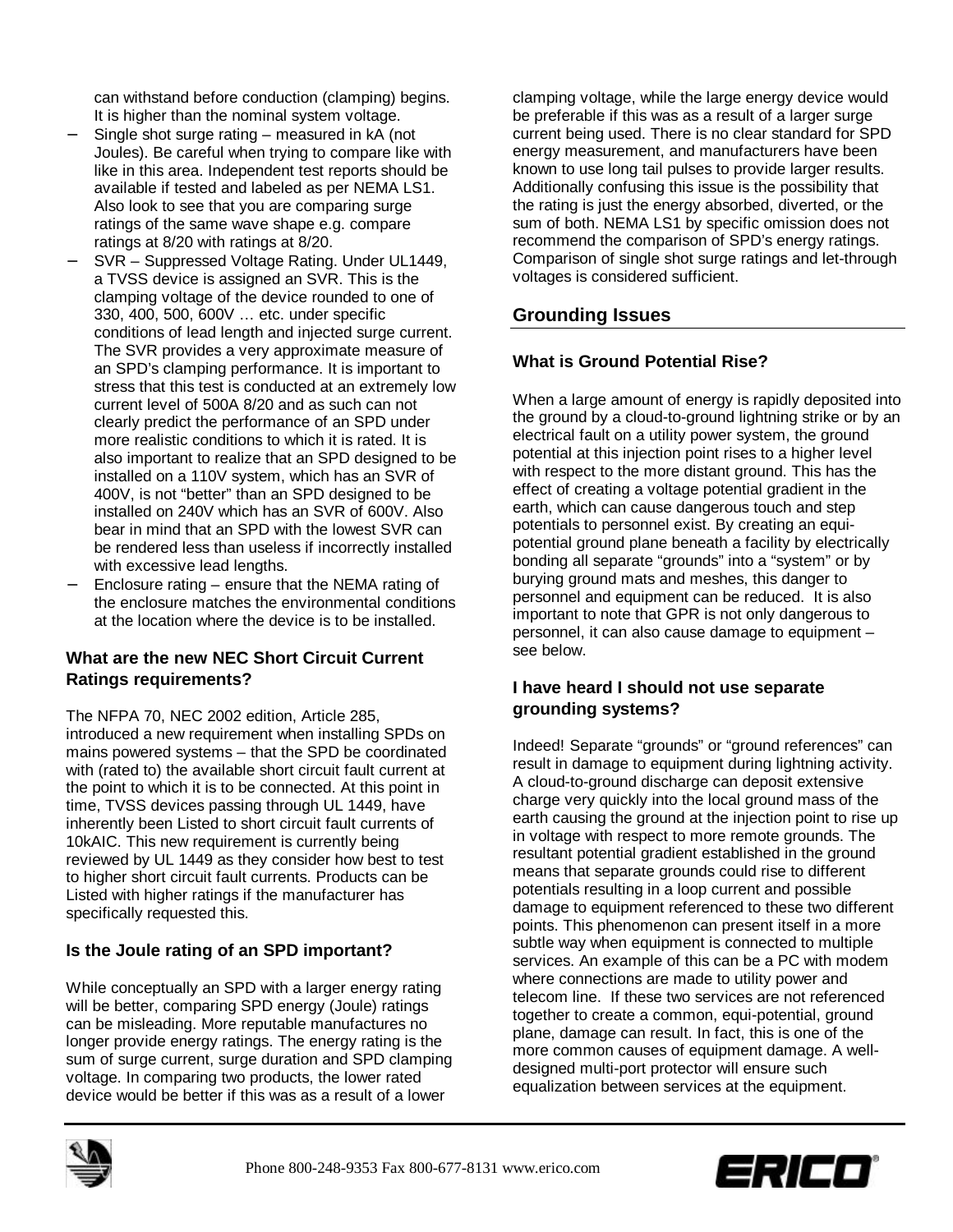can withstand before conduction (clamping) begins. It is higher than the nominal system voltage.

- Single shot surge rating measured in kA (not Joules). Be careful when trying to compare like with like in this area. Independent test reports should be available if tested and labeled as per NEMA LS1. Also look to see that you are comparing surge ratings of the same wave shape e.g. compare ratings at 8/20 with ratings at 8/20.
- − SVR Suppressed Voltage Rating. Under UL1449, a TVSS device is assigned an SVR. This is the clamping voltage of the device rounded to one of 330, 400, 500, 600V … etc. under specific conditions of lead length and injected surge current. The SVR provides a very approximate measure of an SPD's clamping performance. It is important to stress that this test is conducted at an extremely low current level of 500A 8/20 and as such can not clearly predict the performance of an SPD under more realistic conditions to which it is rated. It is also important to realize that an SPD designed to be installed on a 110V system, which has an SVR of 400V, is not "better" than an SPD designed to be installed on 240V which has an SVR of 600V. Also bear in mind that an SPD with the lowest SVR can be rendered less than useless if incorrectly installed with excessive lead lengths.
- − Enclosure rating ensure that the NEMA rating of the enclosure matches the environmental conditions at the location where the device is to be installed.

## **What are the new NEC Short Circuit Current Ratings requirements?**

The NFPA 70, NEC 2002 edition, Article 285, introduced a new requirement when installing SPDs on mains powered systems – that the SPD be coordinated with (rated to) the available short circuit fault current at the point to which it is to be connected. At this point in time, TVSS devices passing through UL 1449, have inherently been Listed to short circuit fault currents of 10kAIC. This new requirement is currently being reviewed by UL 1449 as they consider how best to test to higher short circuit fault currents. Products can be Listed with higher ratings if the manufacturer has specifically requested this.

# **Is the Joule rating of an SPD important?**

While conceptually an SPD with a larger energy rating will be better, comparing SPD energy (Joule) ratings can be misleading. More reputable manufactures no longer provide energy ratings. The energy rating is the sum of surge current, surge duration and SPD clamping voltage. In comparing two products, the lower rated device would be better if this was as a result of a lower

clamping voltage, while the large energy device would be preferable if this was as a result of a larger surge current being used. There is no clear standard for SPD energy measurement, and manufacturers have been known to use long tail pulses to provide larger results. Additionally confusing this issue is the possibility that the rating is just the energy absorbed, diverted, or the sum of both. NEMA LS1 by specific omission does not recommend the comparison of SPD's energy ratings. Comparison of single shot surge ratings and let-through voltages is considered sufficient.

# **Grounding Issues**

## **What is Ground Potential Rise?**

When a large amount of energy is rapidly deposited into the ground by a cloud-to-ground lightning strike or by an electrical fault on a utility power system, the ground potential at this injection point rises to a higher level with respect to the more distant ground. This has the effect of creating a voltage potential gradient in the earth, which can cause dangerous touch and step potentials to personnel exist. By creating an equipotential ground plane beneath a facility by electrically bonding all separate "grounds" into a "system" or by burying ground mats and meshes, this danger to personnel and equipment can be reduced. It is also important to note that GPR is not only dangerous to personnel, it can also cause damage to equipment – see below.

## **I have heard I should not use separate grounding systems?**

Indeed! Separate "grounds" or "ground references" can result in damage to equipment during lightning activity. A cloud-to-ground discharge can deposit extensive charge very quickly into the local ground mass of the earth causing the ground at the injection point to rise up in voltage with respect to more remote grounds. The resultant potential gradient established in the ground means that separate grounds could rise to different potentials resulting in a loop current and possible damage to equipment referenced to these two different points. This phenomenon can present itself in a more subtle way when equipment is connected to multiple services. An example of this can be a PC with modem where connections are made to utility power and telecom line. If these two services are not referenced together to create a common, equi-potential, ground plane, damage can result. In fact, this is one of the more common causes of equipment damage. A welldesigned multi-port protector will ensure such equalization between services at the equipment.